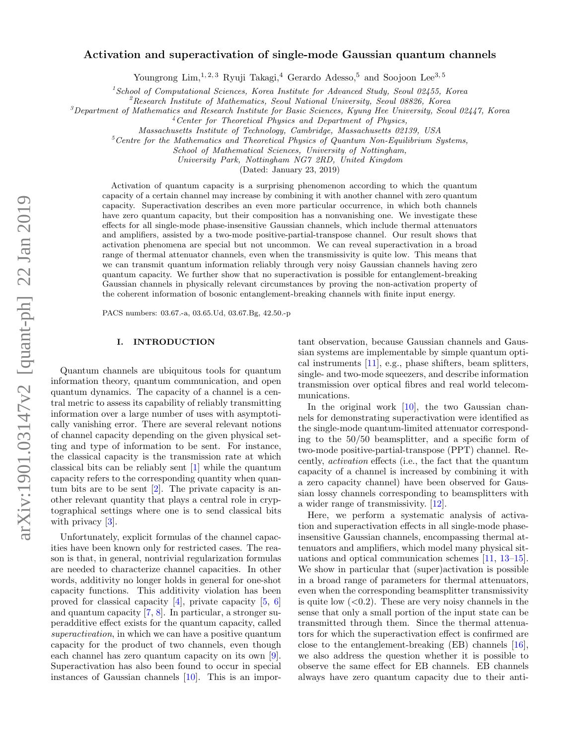# arXiv:1901.03147v2 [quant-ph] 22 Jan 2019 arXiv:1901.03147v2 [quant-ph] 22 Jan 2019

# Activation and superactivation of single-mode Gaussian quantum channels

Youngrong Lim,  $^{1, 2, 3}$  Ryuji Takagi,  $^{4}$  Gerardo Adesso,  $^{5}$  and Soojoon Lee<sup>3, 5</sup>

 $1$ School of Computational Sciences, Korea Institute for Advanced Study, Seoul 02455, Korea

 $^{2}$ Research Institute of Mathematics, Seoul National University, Seoul 08826, Korea

 $3$ Department of Mathematics and Research Institute for Basic Sciences, Kyung Hee University, Seoul 02447, Korea

<sup>4</sup>Center for Theoretical Physics and Department of Physics,

Massachusetts Institute of Technology, Cambridge, Massachusetts 02139, USA

 $5$ Centre for the Mathematics and Theoretical Physics of Quantum Non-Equilibrium Systems,

School of Mathematical Sciences, University of Nottingham,

University Park, Nottingham NG7 2RD, United Kingdom

(Dated: January 23, 2019)

Activation of quantum capacity is a surprising phenomenon according to which the quantum capacity of a certain channel may increase by combining it with another channel with zero quantum capacity. Superactivation describes an even more particular occurrence, in which both channels have zero quantum capacity, but their composition has a nonvanishing one. We investigate these effects for all single-mode phase-insensitive Gaussian channels, which include thermal attenuators and amplifiers, assisted by a two-mode positive-partial-transpose channel. Our result shows that activation phenomena are special but not uncommon. We can reveal superactivation in a broad range of thermal attenuator channels, even when the transmissivity is quite low. This means that we can transmit quantum information reliably through very noisy Gaussian channels having zero quantum capacity. We further show that no superactivation is possible for entanglement-breaking Gaussian channels in physically relevant circumstances by proving the non-activation property of the coherent information of bosonic entanglement-breaking channels with finite input energy.

PACS numbers: 03.67.-a, 03.65.Ud, 03.67.Bg, 42.50.-p

### I. INTRODUCTION

Quantum channels are ubiquitous tools for quantum information theory, quantum communication, and open quantum dynamics. The capacity of a channel is a central metric to assess its capability of reliably transmitting information over a large number of uses with asymptotically vanishing error. There are several relevant notions of channel capacity depending on the given physical setting and type of information to be sent. For instance, the classical capacity is the transmission rate at which classical bits can be reliably sent [\[1\]](#page-4-0) while the quantum capacity refers to the corresponding quantity when quantum bits are to be sent [\[2\]](#page-4-1). The private capacity is another relevant quantity that plays a central role in cryptographical settings where one is to send classical bits with privacy [\[3\]](#page-4-2).

Unfortunately, explicit formulas of the channel capacities have been known only for restricted cases. The reason is that, in general, nontrivial regularization formulas are needed to characterize channel capacities. In other words, additivity no longer holds in general for one-shot capacity functions. This additivity violation has been proved for classical capacity [\[4\]](#page-4-3), private capacity [\[5,](#page-4-4) [6\]](#page-4-5) and quantum capacity [\[7,](#page-4-6) [8\]](#page-4-7). In particular, a stronger superadditive effect exists for the quantum capacity, called superactivation, in which we can have a positive quantum capacity for the product of two channels, even though each channel has zero quantum capacity on its own [\[9\]](#page-4-8). Superactivation has also been found to occur in special instances of Gaussian channels [\[10\]](#page-4-9). This is an impor-

tant observation, because Gaussian channels and Gaussian systems are implementable by simple quantum optical instruments [\[11\]](#page-4-10), e.g., phase shifters, beam splitters, single- and two-mode squeezers, and describe information transmission over optical fibres and real world telecommunications.

In the original work  $[10]$ , the two Gaussian channels for demonstrating superactivation were identified as the single-mode quantum-limited attenuator corresponding to the 50/50 beamsplitter, and a specific form of two-mode positive-partial-transpose (PPT) channel. Recently, activation effects (i.e., the fact that the quantum capacity of a channel is increased by combining it with a zero capacity channel) have been observed for Gaussian lossy channels corresponding to beamsplitters with a wider range of transmissivity. [\[12\]](#page-4-11).

Here, we perform a systematic analysis of activation and superactivation effects in all single-mode phaseinsensitive Gaussian channels, encompassing thermal attenuators and amplifiers, which model many physical situations and optical communication schemes [\[11,](#page-4-10) [13–](#page-4-12)[15\]](#page-4-13). We show in particular that (super)activation is possible in a broad range of parameters for thermal attenuators, even when the corresponding beamsplitter transmissivity is quite low  $( $0.2$ ). These are very noisy channels in the$ sense that only a small portion of the input state can be transmitted through them. Since the thermal attenuators for which the superactivation effect is confirmed are close to the entanglement-breaking (EB) channels [\[16\]](#page-4-14), we also address the question whether it is possible to observe the same effect for EB channels. EB channels always have zero quantum capacity due to their anti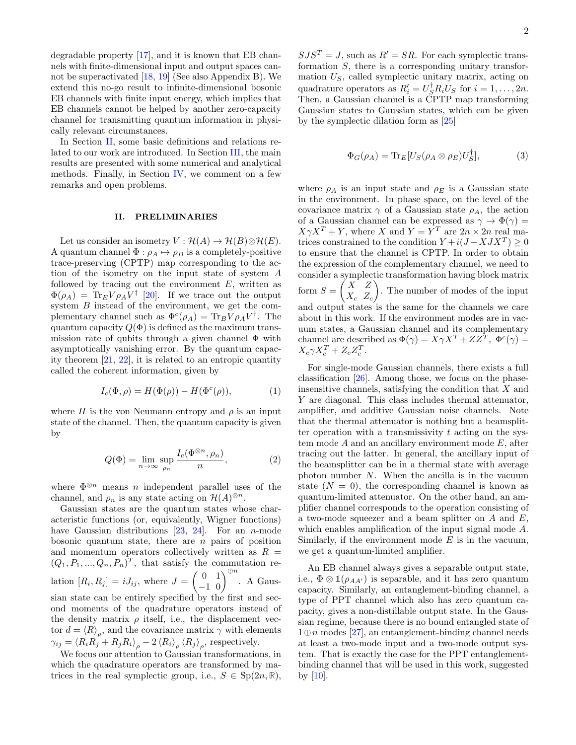degradable property [\[17\]](#page-4-15), and it is known that EB channels with finite-dimensional input and output spaces cannot be superactivated [\[18,](#page-4-16) [19\]](#page-4-17) (See also Appendix B). We extend this no-go result to infinite-dimensional bosonic EB channels with finite input energy, which implies that EB channels cannot be helped by another zero-capacity channel for transmitting quantum information in physically relevant circumstances.

In Section [II,](#page-1-0) some basic definitions and relations related to our work are introduced. In Section [III,](#page-2-0) the main results are presented with some numerical and analytical methods. Finally, in Section [IV,](#page-3-0) we comment on a few remarks and open problems.

# <span id="page-1-0"></span>II. PRELIMINARIES

Let us consider an isometry  $V : \mathcal{H}(A) \to \mathcal{H}(B) \otimes \mathcal{H}(E)$ . A quantum channel  $\Phi : \rho_A \mapsto \rho_B$  is a completely-positive trace-preserving (CPTP) map corresponding to the action of the isometry on the input state of system A followed by tracing out the environment  $E$ , written as  $\Phi(\rho_A) = \text{Tr}_E V \rho_A V^{\dagger}$  [\[20\]](#page-4-18). If we trace out the output system  $B$  instead of the environment, we get the complementary channel such as  $\Phi^{c}(\rho_{A}) = \text{Tr}_{B} V \rho_{A} V^{\dagger}$ . The quantum capacity  $Q(\Phi)$  is defined as the maximum transmission rate of qubits through a given channel  $\Phi$  with asymptotically vanishing error. By the quantum capacity theorem [\[21,](#page-4-19) [22\]](#page-4-20), it is related to an entropic quantity called the coherent information, given by

$$
I_c(\Phi, \rho) = H(\Phi(\rho)) - H(\Phi^c(\rho)), \tag{1}
$$

where H is the von Neumann entropy and  $\rho$  is an input state of the channel. Then, the quantum capacity is given by

$$
Q(\Phi) = \lim_{n \to \infty} \sup_{\rho_n} \frac{I_c(\Phi^{\otimes n}, \rho_n)}{n},
$$
 (2)

where  $\Phi^{\otimes n}$  means *n* independent parallel uses of the channel, and  $\rho_n$  is any state acting on  $\mathcal{H}(A)^{\otimes n}$ .

Gaussian states are the quantum states whose characteristic functions (or, equivalently, Wigner functions) have Gaussian distributions  $[23, 24]$  $[23, 24]$  $[23, 24]$ . For an *n*-mode bosonic quantum state, there are  $n$  pairs of position and momentum operators collectively written as  $R =$  $(Q_1, P_1, ..., Q_n, P_n)^T$ , that satisfy the commutation relation  $[R_i, R_j] = iJ_{ij}$ , where  $J = \begin{pmatrix} 0 & 1 \\ -1 & 0 \end{pmatrix}^{\oplus n}$ . A Gaussian state can be entirely specified by the first and second moments of the quadrature operators instead of the density matrix  $\rho$  itself, i.e., the displacement vector  $d = \langle R \rangle_{\rho}$ , and the covariance matrix  $\gamma$  with elements  $\gamma_{ij} = \langle R_i R_j + R_j R_i \rangle_{\rho} - 2 \langle R_i \rangle_{\rho} \langle R_j \rangle_{\rho}$ , respectively.

We focus our attention to Gaussian transformations, in which the quadrature operators are transformed by matrices in the real symplectic group, i.e.,  $S \in Sp(2n, \mathbb{R})$ ,

 $SJS^{T} = J$ , such as  $R' = SR$ . For each symplectic transformation S, there is a corresponding unitary transformation  $U<sub>S</sub>$ , called symplectic unitary matrix, acting on quadrature operators as  $R_i' = U_S^{\dagger} R_i U_S$  for  $i = 1, ..., 2n$ . Then, a Gaussian channel is a CPTP map transforming Gaussian states to Gaussian states, which can be given by the symplectic dilation form as [\[25\]](#page-4-23)

$$
\Phi_G(\rho_A) = \text{Tr}_E[U_S(\rho_A \otimes \rho_E)U_S^{\dagger}],\tag{3}
$$

where  $\rho_A$  is an input state and  $\rho_E$  is a Gaussian state in the environment. In phase space, on the level of the covariance matrix  $\gamma$  of a Gaussian state  $\rho_A$ , the action of a Gaussian channel can be expressed as  $\gamma \to \Phi(\gamma) =$  $X\gamma X^T + Y$ , where X and  $Y = Y^T$  are  $2n \times 2n$  real matrices constrained to the condition  $Y + i(J - XJX^T) \geq 0$ to ensure that the channel is CPTP. In order to obtain the expression of the complementary channel, we need to consider a symplectic transformation having block matrix form  $S = \begin{pmatrix} X & Z \\ Y & Z \end{pmatrix}$  $X_c$   $Z_c$  . The number of modes of the input and output states is the same for the channels we care about in this work. If the environment modes are in vacuum states, a Gaussian channel and its complementary channel are described as  $\Phi(\gamma) = X\gamma X^T + ZZ^T, \ \Phi^c(\gamma) =$  $X_c \gamma X_c^T + Z_c Z_c^T$ .

For single-mode Gaussian channels, there exists a full classification [\[26\]](#page-4-24). Among those, we focus on the phaseinsensitive channels, satisfying the condition that X and Y are diagonal. This class includes thermal attenuator, amplifier, and additive Gaussian noise channels. Note that the thermal attenuator is nothing but a beamsplitter operation with a transmissivity  $t$  acting on the system mode  $A$  and an ancillary environment mode  $E$ , after tracing out the latter. In general, the ancillary input of the beamsplitter can be in a thermal state with average photon number N. When the ancilla is in the vacuum state  $(N = 0)$ , the corresponding channel is known as quantum-limited attenuator. On the other hand, an amplifier channel corresponds to the operation consisting of a two-mode squeezer and a beam splitter on A and E, which enables amplification of the input signal mode A. Similarly, if the environment mode  $E$  is in the vacuum, we get a quantum-limited amplifier.

An EB channel always gives a separable output state, i.e.,  $\Phi \otimes \mathbb{1}(\rho_{AA'})$  is separable, and it has zero quantum capacity. Similarly, an entanglement-binding channel, a type of PPT channel which also has zero quantum capacity, gives a non-distillable output state. In the Gaussian regime, because there is no bound entangled state of  $1 \oplus n$  modes [\[27\]](#page-4-25), an entanglement-binding channel needs at least a two-mode input and a two-mode output system. That is exactly the case for the PPT entanglementbinding channel that will be used in this work, suggested by  $[10]$ .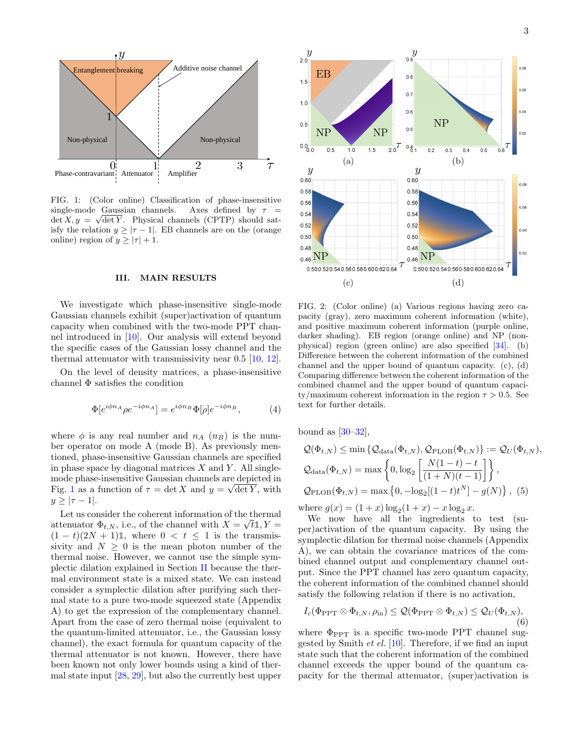

<span id="page-2-1"></span>FIG. 1: (Color online) Classification of phase-insensitive single-mode Gaussian channels. Axes defined by  $\tau =$  $\det X, y = \sqrt{\det Y}$ . Physical channels (CPTP) should satisfy the relation  $y \geq |\tau - 1|$ . EB channels are on the (orange online) region of  $y \ge |\tau| + 1$ .

### <span id="page-2-0"></span>III. MAIN RESULTS

We investigate which phase-insensitive single-mode Gaussian channels exhibit (super)activation of quantum capacity when combined with the two-mode PPT channel introduced in [\[10\]](#page-4-9). Our analysis will extend beyond the specific cases of the Gaussian lossy channel and the thermal attenuator with transmissivity near 0.5 [\[10,](#page-4-9) [12\]](#page-4-11).

On the level of density matrices, a phase-insensitive channel Φ satisfies the condition

$$
\Phi[e^{i\phi n_A}\rho e^{-i\phi n_A}] = e^{i\phi n_B}\Phi[\rho]e^{-i\phi n_B},\tag{4}
$$

where  $\phi$  is any real number and  $n_A$   $(n_B)$  is the number operator on mode A (mode B). As previously mentioned, phase-insensitive Gaussian channels are specified in phase space by diagonal matrices  $X$  and  $Y$ . All singlemode phase-insensitive Gaussian channels are depicted in √ Fig. [1](#page-2-1) as a function of  $\tau = \det X$  and  $y = \sqrt{\det Y}$ , with  $y \geq |\tau - 1|$ .

Let us consider the coherent information of the thermal attenuator  $\Phi_{t,N}$ , i.e., of the channel with  $X = \sqrt{t} \mathbb{1}, Y =$  $(1-t)(2N+1)$ <sup>1</sup>, where  $0 < t \le 1$  is the transmissivity and  $N \geq 0$  is the mean photon number of the thermal noise. However, we cannot use the simple symplectic dilation explained in Section [II](#page-1-0) because the thermal environment state is a mixed state. We can instead consider a symplectic dilation after purifying such thermal state to a pure two-mode squeezed state (Appendix A) to get the expression of the complementary channel. Apart from the case of zero thermal noise (equivalent to the quantum-limited attenuator, i.e., the Gaussian lossy channel), the exact formula for quantum capacity of the thermal attenuator is not known. However, there have been known not only lower bounds using a kind of thermal state input [\[28,](#page-4-26) [29\]](#page-4-27), but also the currently best upper



<span id="page-2-2"></span>FIG. 2: (Color online) (a) Various regions having zero capacity (gray), zero maximum coherent information (white), and positive maximum coherent information (purple online, darker shading). EB region (orange online) and NP (nonphysical) region (green online) are also specified [\[34\]](#page-4-28). (b) Difference between the coherent information of the combined channel and the upper bound of quantum capacity. (c), (d) Comparing difference between the coherent information of the combined channel and the upper bound of quantum capacity/maximum coherent information in the region  $\tau > 0.5$ . See text for further details.

bound as  $[30-32]$  $[30-32]$ ,

$$
Q(\Phi_{t,N}) \le \min \left\{ Q_{\text{data}}(\Phi_{t,N}), Q_{\text{PLOB}}(\Phi_{t,N}) \right\} := Q_U(\Phi_{t,N}),
$$
  

$$
Q_{\text{data}}(\Phi_{t,N}) = \max \left\{ 0, \log_2 \left[ \frac{N(1-t) - t}{(1+N)(t-1)} \right] \right\},
$$
  

$$
Q_{\text{PLOB}}(\Phi_{t,N}) = \max \left\{ 0, -\log_2[(1-t)t^N] - g(N) \right\}, (5)
$$

where  $g(x) = (1+x) \log_2(1+x) - x \log_2 x$ .

We now have all the ingredients to test (super)activation of the quantum capacity. By using the symplectic dilation for thermal noise channels (Appendix A), we can obtain the covariance matrices of the combined channel output and complementary channel output. Since the PPT channel has zero quantum capacity, the coherent information of the combined channel should satisfy the following relation if there is no activation,

<span id="page-2-3"></span>
$$
I_c(\Phi_{\rm PPT} \otimes \Phi_{t,N}, \rho_{\rm in}) \leq \mathcal{Q}(\Phi_{\rm PPT} \otimes \Phi_{t,N}) \leq \mathcal{Q}_U(\Phi_{t,N}),
$$
\n(6)

where  $\Phi_{\text{PPT}}$  is a specific two-mode PPT channel suggested by Smith et el. [\[10\]](#page-4-9). Therefore, if we find an input state such that the coherent information of the combined channel exceeds the upper bound of the quantum capacity for the thermal attenuator, (super)activation is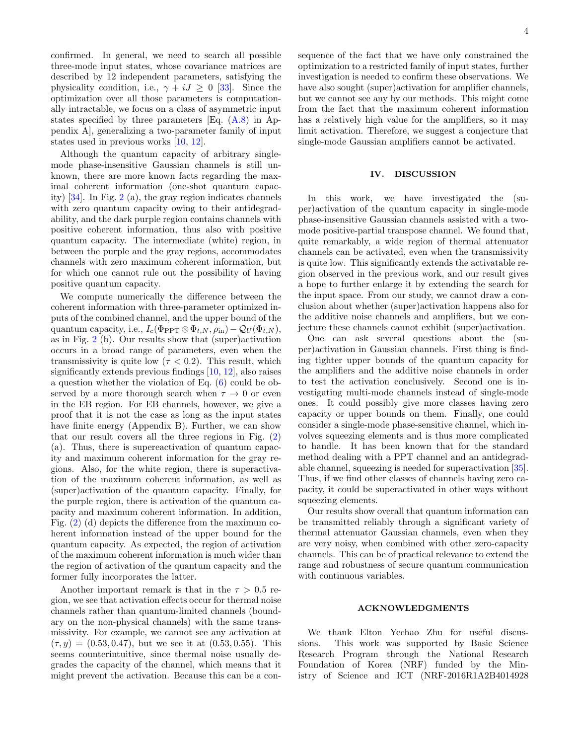confirmed. In general, we need to search all possible three-mode input states, whose covariance matrices are described by 12 independent parameters, satisfying the physicality condition, i.e.,  $\gamma + iJ \geq 0$  [\[33\]](#page-4-31). Since the optimization over all those parameters is computationally intractable, we focus on a class of asymmetric input states specified by three parameters [Eq. [\(A.8\)](#page-6-0) in Appendix A], generalizing a two-parameter family of input states used in previous works [\[10,](#page-4-9) [12\]](#page-4-11).

Although the quantum capacity of arbitrary singlemode phase-insensitive Gaussian channels is still unknown, there are more known facts regarding the maximal coherent information (one-shot quantum capacity) [\[34\]](#page-4-28). In Fig. [2](#page-2-2) (a), the gray region indicates channels with zero quantum capacity owing to their antidegradability, and the dark purple region contains channels with positive coherent information, thus also with positive quantum capacity. The intermediate (white) region, in between the purple and the gray regions, accommodates channels with zero maximum coherent information, but for which one cannot rule out the possibility of having positive quantum capacity.

We compute numerically the difference between the coherent information with three-parameter optimized inputs of the combined channel, and the upper bound of the quantum capacity, i.e.,  $I_c(\Phi_{\text{PPT}} \otimes \Phi_{t,N}, \rho_{\text{in}}) - \mathcal{Q}_U(\Phi_{t,N}),$ as in Fig. [2](#page-2-2) (b). Our results show that (super)activation occurs in a broad range of parameters, even when the transmissivity is quite low  $(\tau < 0.2)$ . This result, which significantly extends previous findings [\[10,](#page-4-9) [12\]](#page-4-11), also raises a question whether the violation of Eq. [\(6\)](#page-2-3) could be observed by a more thorough search when  $\tau \to 0$  or even in the EB region. For EB channels, however, we give a proof that it is not the case as long as the input states have finite energy (Appendix B). Further, we can show that our result covers all the three regions in Fig. [\(2\)](#page-2-2) (a). Thus, there is supereactivation of quantum capacity and maximum coherent information for the gray regions. Also, for the white region, there is superactivation of the maximum coherent information, as well as (super)activation of the quantum capacity. Finally, for the purple region, there is activation of the quantum capacity and maximum coherent information. In addition, Fig. [\(2\)](#page-2-2) (d) depicts the difference from the maximum coherent information instead of the upper bound for the quantum capacity. As expected, the region of activation of the maximum coherent information is much wider than the region of activation of the quantum capacity and the former fully incorporates the latter.

Another important remark is that in the  $\tau > 0.5$  region, we see that activation effects occur for thermal noise channels rather than quantum-limited channels (boundary on the non-physical channels) with the same transmissivity. For example, we cannot see any activation at  $(\tau, y) = (0.53, 0.47)$ , but we see it at  $(0.53, 0.55)$ . This seems counterintuitive, since thermal noise usually degrades the capacity of the channel, which means that it might prevent the activation. Because this can be a consequence of the fact that we have only constrained the optimization to a restricted family of input states, further investigation is needed to confirm these observations. We have also sought (super)activation for amplifier channels, but we cannot see any by our methods. This might come from the fact that the maximum coherent information has a relatively high value for the amplifiers, so it may limit activation. Therefore, we suggest a conjecture that single-mode Gaussian amplifiers cannot be activated.

### <span id="page-3-0"></span>IV. DISCUSSION

In this work, we have investigated the (super)activation of the quantum capacity in single-mode phase-insensitive Gaussian channels assisted with a twomode positive-partial transpose channel. We found that, quite remarkably, a wide region of thermal attenuator channels can be activated, even when the transmissivity is quite low. This significantly extends the activatable region observed in the previous work, and our result gives a hope to further enlarge it by extending the search for the input space. From our study, we cannot draw a conclusion about whether (super)activation happens also for the additive noise channels and amplifiers, but we conjecture these channels cannot exhibit (super)activation.

One can ask several questions about the (super)activation in Gaussian channels. First thing is finding tighter upper bounds of the quantum capacity for the amplifiers and the additive noise channels in order to test the activation conclusively. Second one is investigating multi-mode channels instead of single-mode ones. It could possibly give more classes having zero capacity or upper bounds on them. Finally, one could consider a single-mode phase-sensitive channel, which involves squeezing elements and is thus more complicated to handle. It has been known that for the standard method dealing with a PPT channel and an antidegradable channel, squeezing is needed for superactivation [\[35\]](#page-4-32). Thus, if we find other classes of channels having zero capacity, it could be superactivated in other ways without squeezing elements.

Our results show overall that quantum information can be transmitted reliably through a significant variety of thermal attenuator Gaussian channels, even when they are very noisy, when combined with other zero-capacity channels. This can be of practical relevance to extend the range and robustness of secure quantum communication with continuous variables.

### ACKNOWLEDGMENTS

We thank Elton Yechao Zhu for useful discussions. This work was supported by Basic Science Research Program through the National Research Foundation of Korea (NRF) funded by the Ministry of Science and ICT (NRF-2016R1A2B4014928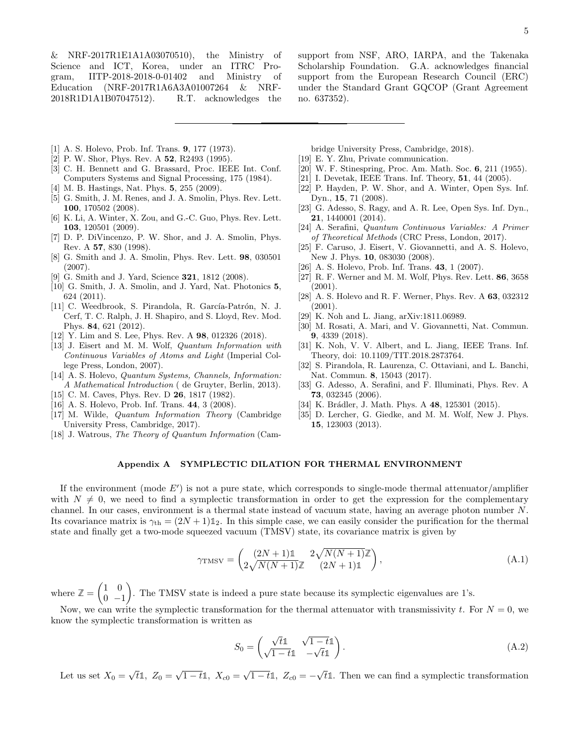& NRF-2017R1E1A1A03070510), the Ministry of Science and ICT, Korea, under an ITRC Program, IITP-2018-2018-0-01402 and Ministry of Education (NRF-2017R1A6A3A01007264 & NRF-2018R1D1A1B07047512). R.T. acknowledges the

support from NSF, ARO, IARPA, and the Takenaka Scholarship Foundation. G.A. acknowledges financial support from the European Research Council (ERC) under the Standard Grant GQCOP (Grant Agreement no. 637352).

- <span id="page-4-0"></span>[1] A. S. Holevo, Prob. Inf. Trans. 9, 177 (1973).
- <span id="page-4-1"></span>[2] P. W. Shor, Phys. Rev. A 52, R2493 (1995).
- <span id="page-4-2"></span>[3] C. H. Bennett and G. Brassard, Proc. IEEE Int. Conf. Computers Systems and Signal Processing, 175 (1984).
- <span id="page-4-3"></span>[4] M. B. Hastings, Nat. Phys. **5**, 255 (2009).
- <span id="page-4-4"></span>[5] G. Smith, J. M. Renes, and J. A. Smolin, Phys. Rev. Lett. 100, 170502 (2008).
- <span id="page-4-5"></span>[6] K. Li, A. Winter, X. Zou, and G.-C. Guo, Phys. Rev. Lett. 103, 120501 (2009).
- <span id="page-4-6"></span>[7] D. P. DiVincenzo, P. W. Shor, and J. A. Smolin, Phys. Rev. A 57, 830 (1998).
- <span id="page-4-7"></span>[8] G. Smith and J. A. Smolin, Phys. Rev. Lett. 98, 030501 (2007).
- <span id="page-4-8"></span>[9] G. Smith and J. Yard, Science **321**, 1812 (2008).
- <span id="page-4-9"></span>[10] G. Smith, J. A. Smolin, and J. Yard, Nat. Photonics 5, 624 (2011).
- <span id="page-4-10"></span>[11] C. Weedbrook, S. Pirandola, R. García-Patrón, N. J. Cerf, T. C. Ralph, J. H. Shapiro, and S. Lloyd, Rev. Mod. Phys. 84, 621 (2012).
- <span id="page-4-11"></span>[12] Y. Lim and S. Lee, Phys. Rev. A 98, 012326 (2018).
- <span id="page-4-12"></span>[13] J. Eisert and M. M. Wolf, Quantum Information with Continuous Variables of Atoms and Light (Imperial College Press, London, 2007).
- [14] A. S. Holevo, Quantum Systems, Channels, Information: A Mathematical Introduction ( de Gruyter, Berlin, 2013).
- <span id="page-4-13"></span>[15] C. M. Caves, Phys. Rev. D **26**, 1817 (1982).
- <span id="page-4-14"></span>[16] A. S. Holevo, Prob. Inf. Trans. 44, 3 (2008).
- <span id="page-4-15"></span>[17] M. Wilde, Quantum Information Theory (Cambridge University Press, Cambridge, 2017).
- <span id="page-4-16"></span>[18] J. Watrous, The Theory of Quantum Information (Cam-

bridge University Press, Cambridge, 2018).

- <span id="page-4-17"></span>[19] E. Y. Zhu, Private communication.
- <span id="page-4-18"></span>[20] W. F. Stinespring, Proc. Am. Math. Soc. 6, 211 (1955).
- <span id="page-4-19"></span>[21] I. Devetak, IEEE Trans. Inf. Theory, **51**, 44 (2005).
- <span id="page-4-20"></span>[22] P. Hayden, P. W. Shor, and A. Winter, Open Sys. Inf. Dyn., 15, 71 (2008).
- <span id="page-4-21"></span>[23] G. Adesso, S. Ragy, and A. R. Lee, Open Sys. Inf. Dyn., 21, 1440001 (2014).
- <span id="page-4-22"></span>[24] A. Serafini, Quantum Continuous Variables: A Primer of Theoretical Methods (CRC Press, London, 2017).
- <span id="page-4-23"></span>[25] F. Caruso, J. Eisert, V. Giovannetti, and A. S. Holevo, New J. Phys. 10, 083030 (2008).
- <span id="page-4-24"></span>[26] A. S. Holevo, Prob. Inf. Trans. **43**, 1 (2007).
- <span id="page-4-25"></span>[27] R. F. Werner and M. M. Wolf, Phys. Rev. Lett. 86, 3658 (2001).
- <span id="page-4-26"></span>[28] A. S. Holevo and R. F. Werner, Phys. Rev. A 63, 032312 (2001).
- <span id="page-4-27"></span>[29] K. Noh and L. Jiang, arXiv:1811.06989.
- <span id="page-4-29"></span>[30] M. Rosati, A. Mari, and V. Giovannetti, Nat. Commun. 9, 4339 (2018).
- [31] K. Noh, V. V. Albert, and L. Jiang, IEEE Trans. Inf. Theory, doi: 10.1109/TIT.2018.2873764.
- <span id="page-4-30"></span>[32] S. Pirandola, R. Laurenza, C. Ottaviani, and L. Banchi, Nat. Commun. 8, 15043 (2017).
- <span id="page-4-31"></span>[33] G. Adesso, A. Serafini, and F. Illuminati, Phys. Rev. A 73, 032345 (2006).
- <span id="page-4-28"></span>[34] K. Brádler, J. Math. Phys. A 48, 125301 (2015).
- <span id="page-4-32"></span>[35] D. Lercher, G. Giedke, and M. M. Wolf, New J. Phys. 15, 123003 (2013).

# Appendix A SYMPLECTIC DILATION FOR THERMAL ENVIRONMENT

If the environment (mode  $E'$ ) is not a pure state, which corresponds to single-mode thermal attenuator/amplifier with  $N \neq 0$ , we need to find a symplectic transformation in order to get the expression for the complementary channel. In our cases, environment is a thermal state instead of vacuum state, having an average photon number N. Its covariance matrix is  $\gamma_{\text{th}} = (2N+1)\mathbb{1}_2$ . In this simple case, we can easily consider the purification for the thermal state and finally get a two-mode squeezed vacuum (TMSV) state, its covariance matrix is given by

$$
\gamma_{\text{TMSV}} = \begin{pmatrix} (2N+1)\mathbb{1} & 2\sqrt{N(N+1)}\mathbb{Z} \\ 2\sqrt{N(N+1)}\mathbb{Z} & (2N+1)\mathbb{1} \end{pmatrix},\tag{A.1}
$$

where  $\mathbb{Z} = \begin{pmatrix} 1 & 0 \\ 0 & 0 \end{pmatrix}$  $0 -1$ . The TMSV state is indeed a pure state because its symplectic eigenvalues are 1's.

Now, we can write the symplectic transformation for the thermal attenuator with transmissivity t. For  $N = 0$ , we know the symplectic transformation is written as

$$
S_0 = \begin{pmatrix} \sqrt{t} \mathbb{1} & \sqrt{1-t} \mathbb{1} \\ \sqrt{1-t} \mathbb{1} & -\sqrt{t} \mathbb{1} \end{pmatrix} . \tag{A.2}
$$

Let us set  $X_0 =$ √  $\overline{t}$ 1,  $Z_0 = \sqrt{1-t}$ 1,  $X_{c0} = \sqrt{1-t}$ 1,  $Z_{c0} = -$ √ t**1**. Then we can find a symplectic transformation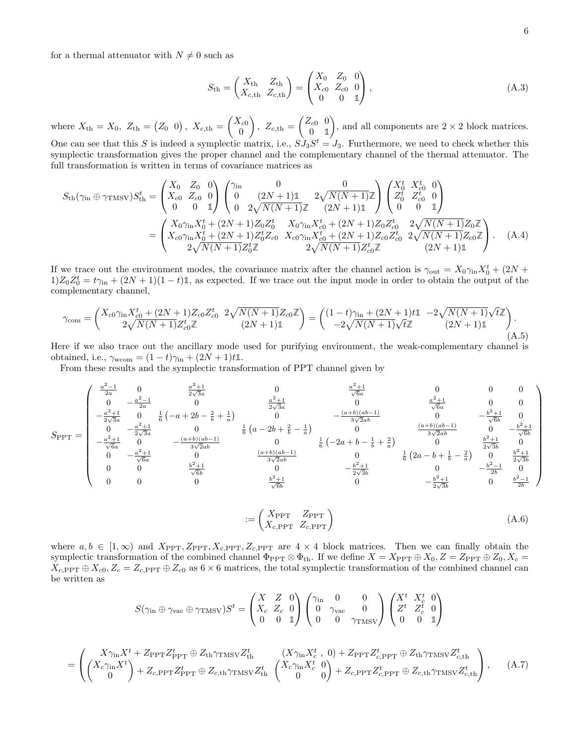for a thermal attenuator with  $N \neq 0$  such as

$$
S_{\rm th} = \begin{pmatrix} X_{\rm th} & Z_{\rm th} \\ X_{c,\rm th} & Z_{c,\rm th} \end{pmatrix} = \begin{pmatrix} X_0 & Z_0 & 0 \\ X_{c0} & Z_{c0} & 0 \\ 0 & 0 & 1 \end{pmatrix},
$$
(A.3)

where  $X_{\text{th}} = X_0$ ,  $Z_{\text{th}} = (Z_0 \ 0)$ ,  $X_{c,\text{th}} = \begin{pmatrix} X_{c0} \\ 0 \end{pmatrix}$ 0 ),  $Z_{c,th} = \begin{pmatrix} Z_{c0} & 0 \\ 0 & 1 \end{pmatrix}$ 0 **1** ), and all components are  $2 \times 2$  block matrices. One can see that this S is indeed a symplectic matrix, i.e.,  $SJ_3S^t = J_3$ . Furthermore, we need to check whether this

symplectic transformation gives the proper channel and the complementary channel of the thermal attenuator. The full transformation is written in terms of covariance matrices as

$$
S_{\text{th}}(\gamma_{\text{in}} \oplus \gamma_{\text{TMSV}})S_{\text{th}}^{t} = \begin{pmatrix} X_{0} & Z_{0} & 0 \\ X_{c0} & Z_{c0} & 0 \\ 0 & 0 & 1 \end{pmatrix} \begin{pmatrix} \gamma_{\text{in}} & 0 & 0 \\ 0 & (2N+1)1 & 2\sqrt{N(N+1)}Z \\ 0 & 2\sqrt{N(N+1)}Z & (2N+1)1 \end{pmatrix} \begin{pmatrix} X_{0}^{t} & X_{c0}^{t} & 0 \\ Z_{0}^{t} & Z_{c0}^{t} & 0 \\ 0 & 0 & 1 \end{pmatrix}
$$

$$
= \begin{pmatrix} X_{0}\gamma_{\text{in}}X_{0}^{t} + (2N+1)Z_{0}Z_{0}^{t} & X_{0}\gamma_{\text{in}}X_{c0}^{t} + (2N+1)Z_{0}Z_{c0}^{t} & 2\sqrt{N(N+1)}Z_{0}Z \\ X_{c0}\gamma_{\text{in}}X_{0}^{t} + (2N+1)Z_{0}^{t}Z_{c0} & X_{c0}\gamma_{\text{in}}X_{c0}^{t} + (2N+1)Z_{c0}Z_{c0}^{t} & 2\sqrt{N(N+1)}Z_{c0}Z \\ 2\sqrt{N(N+1)}Z_{0}^{t}Z & 2\sqrt{N(N+1)}Z_{c0}^{t}Z & (2N+1)1 \end{pmatrix}.
$$
 (A.4)

If we trace out the environment modes, the covariance matrix after the channel action is  $\gamma_{\text{out}} = X_0 \gamma_{\text{in}} X_0^t + (2N +$  $1)Z_0Z_0^t = t\gamma_{\rm in} + (2N+1)(1-t)\mathbb{1}$ , as expected. If we trace out the input mode in order to obtain the output of the complementary channel,

$$
\gamma_{\text{com}} = \begin{pmatrix} X_{c0} \gamma_{\text{in}} X_{c0}^{t} + (2N+1) Z_{c0} Z_{c0}^{t} & 2 \sqrt{N(N+1)} Z_{c0} \mathbb{Z} \\ 2 \sqrt{N(N+1)} Z_{c0}^{t} \mathbb{Z} & (2N+1) \mathbb{1} \end{pmatrix} = \begin{pmatrix} (1-t) \gamma_{\text{in}} + (2N+1) t \mathbb{1} & -2 \sqrt{N(N+1)} \sqrt{t} \mathbb{Z} \\ -2 \sqrt{N(N+1)} \sqrt{t} \mathbb{Z} & (2N+1) \mathbb{1} \end{pmatrix} . \tag{A.5}
$$

Here if we also trace out the ancillary mode used for purifying environment, the weak-complementary channel is obtained, i.e.,  $\gamma_{\text{wcom}} = (1-t)\gamma_{\text{in}} + (2N+1)t\mathbb{1}.$ 

From these results and the symplectic transformation of PPT channel given by

$$
S_{\rm PPT} = \begin{pmatrix} \frac{a^2-1}{2a} & 0 & \frac{a^2+1}{2\sqrt{3}a} & 0 & \frac{a^2+1}{\sqrt{6}a} & 0 & 0 & 0\\ 0 & -\frac{a^2-1}{2a} & 0 & \frac{a^2+1}{2\sqrt{3}a} & 0 & \frac{a^2+1}{\sqrt{6}a} & 0 & 0\\ -\frac{a^2+1}{2\sqrt{3}a} & 0 & \frac{1}{6}\left(-a+2b-\frac{2}{b}+\frac{1}{a}\right) & 0 & -\frac{(a+b)(ab-1)}{3\sqrt{2}ab} & 0 & -\frac{b^2+1}{\sqrt{6}b} & 0\\ -\frac{a^2+1}{\sqrt{6}a} & 0 & -\frac{(a+b)(ab-1)}{3\sqrt{2}ab} & 0 & \frac{(a+b)(ab-1)}{3\sqrt{2}ab} & 0 & -\frac{b^2+1}{\sqrt{6}b}\\ 0 & -\frac{a^2+1}{\sqrt{6}a} & 0 & \frac{(a+b)(ab-1)}{3\sqrt{2}ab} & 0 & \frac{b^2+1}{2\sqrt{3}b} & 0\\ 0 & 0 & \frac{b^2+1}{\sqrt{6}b} & 0 & -\frac{b^2+1}{2\sqrt{3}b} & 0 & \frac{b^2+1}{2\sqrt{3}b} & 0\\ 0 & 0 & \frac{b^2+1}{\sqrt{6}b} & 0 & -\frac{b^2+1}{2\sqrt{3}b} & 0 & -\frac{b^2+1}{2b} & 0\\ 0 & 0 & 0 & \frac{b^2+1}{\sqrt{6}b} & 0 & -\frac{b^2+1}{2\sqrt{3}b} & 0 & -\frac{b^2+1}{2\sqrt{3}b} & 0\\ 0 & 0 & 0 & \frac{b^2+1}{\sqrt{6}b} & 0 & -\frac{b^2+1}{2\sqrt{3}b} & 0 & \frac{b^2-1}{2b} \end{pmatrix}
$$

$$
:= \begin{pmatrix} X_{\text{PPT}} & Z_{\text{PPT}} \\ X_{c,\text{PPT}} & Z_{c,\text{PPT}} \end{pmatrix} \tag{A.6}
$$

where  $a, b \in [1,\infty)$  and  $X_{\text{PPT}}, Z_{\text{PPT}}, X_{c,\text{PPT}}, Z_{c,\text{PPT}}$  are  $4 \times 4$  block matrices. Then we can finally obtain the symplectic transformation of the combined channel  $\Phi_{\text{PPT}} \otimes \Phi_{\text{th}}$ . If we define  $X = X_{\text{PPT}} \oplus X_0$ ,  $Z = Z_{\text{PPT}} \oplus Z_0$ ,  $X_c =$  $X_{c,\text{PPT}} \oplus X_{c0}, Z_c = Z_{c,\text{PPT}} \oplus Z_{c0}$  as  $6 \times 6$  matrices, the total symplectic transformation of the combined channel can be written as

$$
S(\gamma_{\text{in}} \oplus \gamma_{\text{vac}} \oplus \gamma_{\text{TMSV}})S^{t} = \begin{pmatrix} X & Z & 0 \\ X_c & Z_c & 0 \\ 0 & 0 & 1 \end{pmatrix} \begin{pmatrix} \gamma_{\text{in}} & 0 & 0 \\ 0 & \gamma_{\text{vac}} & 0 \\ 0 & 0 & \gamma_{\text{TMSV}} \end{pmatrix} \begin{pmatrix} X^{t} & X_c^{t} & 0 \\ Z^{t} & Z_c^{t} & 0 \\ 0 & 0 & 1 \end{pmatrix}
$$

$$
= \begin{pmatrix} X\gamma_{\text{in}}X^{t} + Z_{\text{PPT}}Z_{\text{PPT}}^{t} \oplus Z_{\text{th}}\gamma_{\text{TMSV}}Z_{\text{th}}^{t} & (X\gamma_{\text{in}}X_{c}^{t}, 0) + Z_{\text{PPT}}Z_{c,\text{PPT}}^{t} \oplus Z_{\text{th}}\gamma_{\text{TMSV}}Z_{c,\text{th}}^{t} \\ (X_{c}\gamma_{\text{in}}X^{t}) + Z_{c,\text{PPT}}Z_{\text{PPT}}^{t} \oplus Z_{c,\text{th}}\gamma_{\text{TMSV}}Z_{\text{th}}^{t} & (X_{c}\gamma_{\text{in}}X_{c}^{t}, 0) + Z_{c,\text{PPT}}Z_{c,\text{PPT}}^{t} \oplus Z_{c,\text{th}}\gamma_{\text{TMSV}}Z_{c,\text{th}}^{t} \end{pmatrix}, \quad (A.7)
$$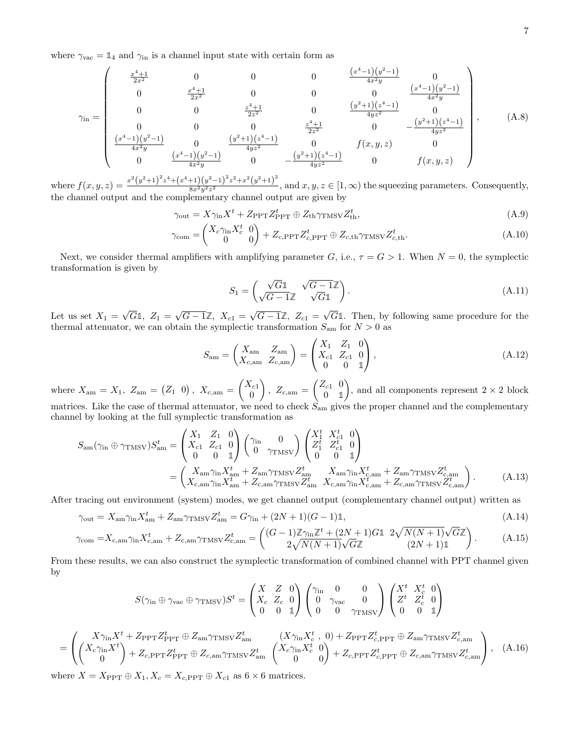where  $\gamma_{\text{vac}} = \mathbb{1}_4$  and  $\gamma_{\text{in}}$  is a channel input state with certain form as

$$
\gamma_{\rm in} = \begin{pmatrix}\n\frac{x^4 + 1}{2x^2} & 0 & 0 & 0 & \frac{(x^4 - 1)(y^2 - 1)}{4x^2y} & 0 \\
0 & \frac{x^4 + 1}{2x^2} & 0 & 0 & 0 & \frac{(x^4 - 1)(y^2 - 1)}{4x^2y} \\
0 & 0 & \frac{z^4 + 1}{2z^2} & 0 & \frac{(y^2 + 1)(z^4 - 1)}{4yz^2} & 0 \\
0 & 0 & 0 & \frac{z^4 + 1}{2z^2} & 0 & -\frac{(y^2 + 1)(z^4 - 1)}{4yz^2} \\
\frac{(x^4 - 1)(y^2 - 1)}{4x^2y} & 0 & \frac{(y^2 + 1)(z^4 - 1)}{4yz^2} & 0 & f(x, y, z) & 0 \\
0 & \frac{(x^4 - 1)(y^2 - 1)}{4x^2y} & 0 & -\frac{(y^2 + 1)(z^4 - 1)}{4yz^2} & 0 & f(x, y, z)\n\end{pmatrix},
$$
\n(A.8)

where  $f(x, y, z) = \frac{x^2(y^2+1)^2z^4+(x^4+1)(y^2-1)^2z^2+x^2(y^2+1)^2}{8x^2y^2z^2}$  $\frac{8x^2y^2z^2}{8x^2y^2z^2}$ , and  $x, y, z \in [1, \infty)$  the squeezing parameters. Consequently, the channel output and the complementary channel output are given by

<span id="page-6-0"></span>
$$
\gamma_{\text{out}} = X \gamma_{\text{in}} X^t + Z_{\text{PPT}} Z_{\text{PPT}}^t \oplus Z_{\text{th}} \gamma_{\text{TMSV}} Z_{\text{th}}^t,\tag{A.9}
$$

$$
\gamma_{\text{com}} = \begin{pmatrix} X_c \gamma_{\text{in}} X_c^t & 0 \\ 0 & 0 \end{pmatrix} + Z_{c,\text{PPT}} Z_{c,\text{PPT}}^t \oplus Z_{c,\text{th}} \gamma_{\text{TMSV}} Z_{c,\text{th}}^t.
$$
\n(A.10)

Next, we consider thermal amplifiers with amplifying parameter G, i.e.,  $\tau = G > 1$ . When  $N = 0$ , the symplectic transformation is given by

$$
S_1 = \begin{pmatrix} \sqrt{G} \mathbb{1} & \sqrt{G - 1} \mathbb{Z} \\ \sqrt{G - 1} \mathbb{Z} & \sqrt{G} \mathbb{1} \end{pmatrix}.
$$
 (A.11)

Let us set  $X_1 =$ √  $G1, Z_1 =$ √  $G - 1\mathbb{Z}, X_{c1} =$ √  $G - 1\mathbb{Z}, Z_{c1} =$ G**1**. Then, by following same procedure for the thermal attenuator, we can obtain the symplectic transformation  $S_{\text{am}}$  for  $N > 0$  as

$$
S_{\rm am} = \begin{pmatrix} X_{\rm am} & Z_{\rm am} \\ X_{c,\rm am} & Z_{c,\rm am} \end{pmatrix} = \begin{pmatrix} X_1 & Z_1 & 0 \\ X_{c1} & Z_{c1} & 0 \\ 0 & 0 & 1 \end{pmatrix}, \tag{A.12}
$$

where  $X_{\text{am}} = X_1, Z_{\text{am}} = (Z_1 \ 0), X_{c,\text{am}} = \begin{pmatrix} X_{c1} \\ 0 \end{pmatrix}$ 0 ),  $Z_{c,am} = \begin{pmatrix} Z_{c1} & 0 \\ 0 & 1 \end{pmatrix}$ 0 **1** ), and all components represent  $2 \times 2$  block matrices. Like the case of thermal attenuator, we need to check  $S_{\text{am}}$  gives the proper channel and the complementary channel by looking at the full symplectic transformation as

$$
S_{\rm am}(\gamma_{\rm in} \oplus \gamma_{\rm TMSV}) S_{\rm am}^{t} = \begin{pmatrix} X_{1} & Z_{1} & 0 \\ X_{c1} & Z_{c1} & 0 \\ 0 & 0 & 1 \end{pmatrix} \begin{pmatrix} \gamma_{\rm in} & 0 \\ 0 & \gamma_{\rm TMSV} \end{pmatrix} \begin{pmatrix} X_{1}^{t} & X_{c1}^{t} & 0 \\ Z_{1}^{t} & Z_{c1}^{t} & 0 \\ 0 & 0 & 1 \end{pmatrix}
$$
  
= 
$$
\begin{pmatrix} X_{\rm am} \gamma_{\rm in} X_{\rm am}^{t} + Z_{\rm am} \gamma_{\rm TMSV} Z_{\rm am}^{t} & X_{\rm am} \gamma_{\rm in} X_{c,\rm am}^{t} + Z_{\rm am} \gamma_{\rm TMSV} Z_{c,\rm am}^{t} \\ X_{c,\rm am} \gamma_{\rm in} X_{\rm am}^{t} + Z_{c,\rm am} \gamma_{\rm TMSV} Z_{\rm am}^{t} & X_{c,\rm am} \gamma_{\rm in} X_{c,\rm am}^{t} + Z_{c,\rm am} \gamma_{\rm TMSV} Z_{c,\rm am}^{t} \end{pmatrix}.
$$
(A.13)

After tracing out environment (system) modes, we get channel output (complementary channel output) written as

$$
\gamma_{\text{out}} = X_{\text{am}} \gamma_{\text{in}} X_{\text{am}}^t + Z_{\text{am}} \gamma_{\text{TMSV}} Z_{\text{am}}^t = G \gamma_{\text{in}} + (2N+1)(G-1)\mathbb{1},\tag{A.14}
$$

$$
\gamma_{\text{com}} = X_{\text{c,am}} \gamma_{\text{in}} X_{\text{c,am}}^t + Z_{\text{c,am}} \gamma_{\text{TMSV}} Z_{\text{c,am}}^t = \begin{pmatrix} (G-1) \mathbb{Z} \gamma_{\text{in}} \mathbb{Z}^t + (2N+1) G \mathbb{1} & 2 \sqrt{N(N+1)} \sqrt{G} \mathbb{Z} \\ 2 \sqrt{N(N+1)} \sqrt{G} \mathbb{Z} & (2N+1) \mathbb{1} \end{pmatrix} . \tag{A.15}
$$

From these results, we can also construct the symplectic transformation of combined channel with PPT channel given by

$$
S(\gamma_{\text{in}} \oplus \gamma_{\text{vac}} \oplus \gamma_{\text{TMSV}})S^{t} = \begin{pmatrix} X & Z & 0 \\ X_c & Z_c & 0 \\ 0 & 0 & 1 \end{pmatrix} \begin{pmatrix} \gamma_{\text{in}} & 0 & 0 \\ 0 & \gamma_{\text{vac}} & 0 \\ 0 & 0 & \gamma_{\text{TMSV}} \end{pmatrix} \begin{pmatrix} X^{t} & X_{c}^{t} & 0 \\ Z^{t} & Z_{c}^{t} & 0 \\ 0 & 0 & 1 \end{pmatrix}
$$

$$
= \left(\begin{pmatrix} X\gamma_{\rm in}X^t + Z_{\rm PPT}Z_{\rm PPT}^t \oplus Z_{\rm am}\gamma_{\rm TMSV}Z_{\rm am}^t & (X\gamma_{\rm in}X_c^t, 0) + Z_{\rm PPT}Z_{c,\rm PPT}^t \oplus Z_{\rm am}\gamma_{\rm TMSV}Z_{c,\rm am}^t\\ (X_c\gamma_{\rm in}X^t) \\ 0 & 0 \end{pmatrix} + Z_{c,\rm PPT}Z_{c,\rm PPT}^t \oplus Z_{c,\rm am}\gamma_{\rm TMSV}Z_{c,\rm am}^t \begin{pmatrix} X_{c}\gamma_{\rm in}X_c^t & 0\\ 0 & 0 \end{pmatrix} + Z_{c,\rm PPT}Z_{c,\rm PPT}^t \oplus Z_{c,\rm am}\gamma_{\rm TMSV}Z_{c,\rm am}^t \end{pmatrix}, \quad (A.16)
$$

where  $X = X_{\text{PPT}} \oplus X_1, X_c = X_{c,\text{PPT}} \oplus X_{c1}$  as  $6 \times 6$  matrices.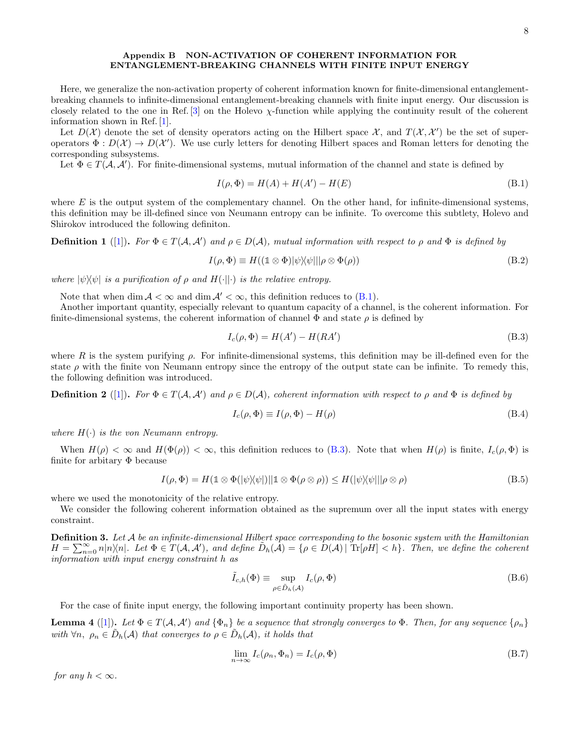## Appendix B NON-ACTIVATION OF COHERENT INFORMATION FOR ENTANGLEMENT-BREAKING CHANNELS WITH FINITE INPUT ENERGY

Here, we generalize the non-activation property of coherent information known for finite-dimensional entanglementbreaking channels to infinite-dimensional entanglement-breaking channels with finite input energy. Our discussion is closely related to the one in Ref. [\[3\]](#page-10-0) on the Holevo  $\chi$ -function while applying the continuity result of the coherent information shown in Ref. [\[1\]](#page-10-1).

Let  $D(\mathcal{X})$  denote the set of density operators acting on the Hilbert space  $\mathcal{X}$ , and  $T(\mathcal{X},\mathcal{X}')$  be the set of superoperators  $\Phi: D(\mathcal{X}) \to D(\mathcal{X}')$ . We use curly letters for denoting Hilbert spaces and Roman letters for denoting the corresponding subsystems.

Let  $\Phi \in T(\mathcal{A}, \mathcal{A}')$ . For finite-dimensional systems, mutual information of the channel and state is defined by

<span id="page-7-0"></span>
$$
I(\rho, \Phi) = H(A) + H(A') - H(E)
$$
\n(B.1)

where  $E$  is the output system of the complementary channel. On the other hand, for infinite-dimensional systems, this definition may be ill-defined since von Neumann entropy can be infinite. To overcome this subtlety, Holevo and Shirokov introduced the following definiton.

**Definition 1** ([\[1\]](#page-10-1)). For  $\Phi \in T(A, A')$  and  $\rho \in D(A)$ , mutual information with respect to  $\rho$  and  $\Phi$  is defined by

$$
I(\rho, \Phi) \equiv H((\mathbb{1} \otimes \Phi)|\psi\rangle\langle\psi|||\rho \otimes \Phi(\rho))
$$
\n(B.2)

where  $|\psi\rangle\langle\psi|$  is a purification of  $\rho$  and  $H(\cdot||\cdot)$  is the relative entropy.

Note that when dim  $A < \infty$  and dim  $A' < \infty$ , this definition reduces to [\(B.1\)](#page-7-0).

Another important quantity, especially relevant to quantum capacity of a channel, is the coherent information. For finite-dimensional systems, the coherent information of channel  $\Phi$  and state  $\rho$  is defined by

<span id="page-7-1"></span>
$$
I_c(\rho, \Phi) = H(A') - H(RA')
$$
\n(B.3)

where R is the system purifying  $\rho$ . For infinite-dimensional systems, this definition may be ill-defined even for the state  $\rho$  with the finite von Neumann entropy since the entropy of the output state can be infinite. To remedy this, the following definition was introduced.

**Definition 2** ([\[1\]](#page-10-1)). For  $\Phi \in T(A, A')$  and  $\rho \in D(A)$ , coherent information with respect to  $\rho$  and  $\Phi$  is defined by

$$
I_c(\rho, \Phi) \equiv I(\rho, \Phi) - H(\rho) \tag{B.4}
$$

where  $H(\cdot)$  is the von Neumann entropy.

When  $H(\rho) < \infty$  and  $H(\Phi(\rho)) < \infty$ , this definition reduces to [\(B.3\)](#page-7-1). Note that when  $H(\rho)$  is finite,  $I_c(\rho, \Phi)$  is finite for arbitary  $\Phi$  because

$$
I(\rho, \Phi) = H(\mathbb{1} \otimes \Phi(|\psi\rangle\langle\psi|)||\mathbb{1} \otimes \Phi(\rho \otimes \rho)) \leq H(|\psi\rangle\langle\psi|||\rho \otimes \rho)
$$
(B.5)

where we used the monotonicity of the relative entropy.

We consider the following coherent information obtained as the supremum over all the input states with energy constraint.

**Definition 3.** Let  $A$  be an infinite-dimensional Hilbert space corresponding to the bosonic system with the Hamiltonian  $H = \sum_{n=0}^{\infty} n|n\rangle\langle n|$ . Let  $\Phi \in T(\mathcal{A}, \mathcal{A}')$ , and define  $\tilde{D}_h(\tilde{\mathcal{A}}) = \{ \rho \in D(\mathcal{A}) | T_F[\rho H] < h \}$ . Then, we define the coherent information with input energy constraint h as

<span id="page-7-3"></span>
$$
\tilde{I}_{c,h}(\Phi) \equiv \sup_{\rho \in \tilde{D}_h(\mathcal{A})} I_c(\rho, \Phi)
$$
\n(B.6)

For the case of finite input energy, the following important continuity property has been shown.

**Lemma 4** ([\[1\]](#page-10-1)). Let  $\Phi \in T(A, A')$  and  $\{\Phi_n\}$  be a sequence that strongly converges to  $\Phi$ . Then, for any sequence  $\{\rho_n\}$ with  $\forall n, \ \rho_n \in \tilde{D}_h(\mathcal{A})$  that converges to  $\rho \in \tilde{D}_h(\mathcal{A})$ , it holds that

<span id="page-7-2"></span>
$$
\lim_{n \to \infty} I_c(\rho_n, \Phi_n) = I_c(\rho, \Phi)
$$
\n(B.7)

for any  $h < \infty$ .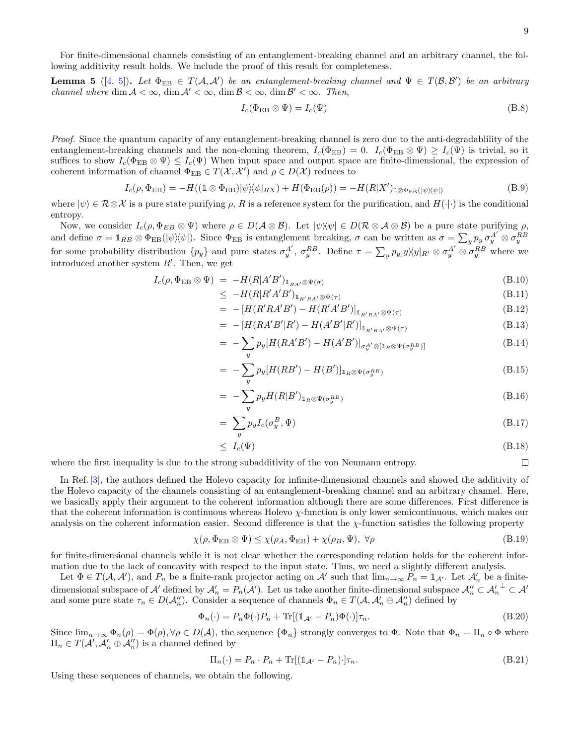$\Box$ 

For finite-dimensional channels consisting of an entanglement-breaking channel and an arbitrary channel, the following additivity result holds. We include the proof of this result for completeness.

**Lemma 5** ([\[4,](#page-10-2) [5\]](#page-10-3)). Let  $\Phi_{EB} \in T(A, A')$  be an entanglement-breaking channel and  $\Psi \in T(B, B')$  be an arbitrary channel where  $\dim A < \infty$ ,  $\dim A' < \infty$ ,  $\dim B < \infty$ ,  $\dim B' < \infty$ . Then,

<span id="page-8-2"></span>
$$
I_c(\Phi_{EB} \otimes \Psi) = I_c(\Psi) \tag{B.8}
$$

Proof. Since the quantum capacity of any entanglement-breaking channel is zero due to the anti-degradability of the entanglement-breaking channels and the non-cloning theorem,  $I_c(\Phi_{EB}) = 0$ .  $I_c(\Phi_{EB} \otimes \Psi) \geq I_c(\Psi)$  is trivial, so it suffices to show  $I_c(\Phi_{EB} \otimes \Psi) \leq I_c(\Psi)$  When input space and output space are finite-dimensional, the expression of coherent information of channel  $\Phi_{EB} \in T(\mathcal{X}, \mathcal{X}')$  and  $\rho \in D(\mathcal{X})$  reduces to

$$
I_c(\rho, \Phi_{EB}) = -H((\mathbb{1} \otimes \Phi_{EB})|\psi\rangle\langle\psi|_{RX}) + H(\Phi_{EB}(\rho)) = -H(R|X')_{\mathbb{1} \otimes \Phi_{EB}(|\psi\rangle\langle\psi|)} \tag{B.9}
$$

where  $|\psi\rangle \in \mathcal{R} \otimes \mathcal{X}$  is a pure state purifying  $\rho$ , R is a reference system for the purification, and  $H(\cdot|\cdot)$  is the conditional entropy.

Now, we consider  $I_c(\rho, \Phi_{EB} \otimes \Psi)$  where  $\rho \in D(\mathcal{A} \otimes \mathcal{B})$ . Let  $|\psi\rangle\langle\psi| \in D(\mathcal{R} \otimes \mathcal{A} \otimes \mathcal{B})$  be a pure state purifying  $\rho$ , and define  $\sigma = \mathbb{1}_{RB} \otimes \Phi_{EB}(|\psi\rangle\langle\psi|)$ . Since  $\Phi_{EB}$  is entanglement breaking,  $\sigma$  can be written as  $\sigma = \sum_y p_y \sigma_y^{A'} \otimes \sigma_y^{RB}$ for some probability distribution  $\{p_y\}$  and pure states  $\sigma_y^{A'}$ ,  $\sigma_y^{RB}$ . Define  $\tau = \sum_y p_y |y\rangle\langle y|_{R'} \otimes \sigma_y^{A'} \otimes \sigma_y^{RB}$  where we introduced another system  $R'$ . Then, we get

$$
I_c(\rho, \Phi_{EB} \otimes \Psi) = -H(R|A'B')_{\mathbb{1}_{RA'} \otimes \Psi(\sigma)} \tag{B.10}
$$

$$
\leq -H(R|R'A'B')_{\mathbb{1}_{R'RA'}\otimes\Psi(\tau)} \tag{B.11}
$$

$$
= -[H(R'RA'B') - H(R'A'B')]_{\mathbb{1}_{R'RA'} \otimes \Psi(\tau)}
$$
(B.12)

$$
= -\left[H(RA'B'|R') - H(A'B'|R')\right]_{\mathbb{1}_{R'RA'}\otimes\Psi(\tau)}
$$
(B.13)

$$
= -\sum_{y} p_y [H(RA'B') - H(A'B')]_{\sigma_y^{A'} \otimes [\mathbb{1}_R \otimes \Psi(\sigma_y^{RB})]} \tag{B.14}
$$

$$
= -\sum_{y} p_y [H(RB') - H(B')]_{1_R \otimes \Psi(\sigma_y^{RB})}
$$
(B.15)

$$
= -\sum_{y} p_y H(R|B')_{1_R \otimes \Psi(\sigma_y^{RB})}
$$
(B.16)

$$
=\sum_{y} p_y I_c(\sigma_y^B, \Psi) \tag{B.17}
$$

$$
\leq I_c(\Psi) \tag{B.18}
$$

where the first inequality is due to the strong subadditivity of the von Neumann entropy.

In Ref. [\[3\]](#page-10-0), the authors defined the Holevo capacity for infinite-dimensional channels and showed the additivity of the Holevo capacity of the channels consisting of an entanglement-breaking channel and an arbitrary channel. Here, we basically apply their argument to the coherent information although there are some differences. First difference is that the coherent information is continuous whereas Holevo  $\chi$ -function is only lower semicontinuous, which makes our analysis on the coherent information easier. Second difference is that the  $\chi$ -function satisfies the following property

$$
\chi(\rho, \Phi_{EB} \otimes \Psi) \le \chi(\rho_A, \Phi_{EB}) + \chi(\rho_B, \Psi), \ \forall \rho
$$
\n(B.19)

for finite-dimensional channels while it is not clear whether the corresponding relation holds for the coherent information due to the lack of concavity with respect to the input state. Thus, we need a slightly different analysis.

Let  $\Phi \in T(\mathcal{A}, \mathcal{A}')$ , and  $P_n$  be a finite-rank projector acting on  $\mathcal{A}'$  such that  $\lim_{n\to\infty} P_n = \mathbb{1}_{\mathcal{A}'}$ . Let  $\mathcal{A}'_n$  be a finitedimensional subspace of  $\mathcal{A}'$  defined by  $\mathcal{A}'_n = P_n(\mathcal{A}')$ . Let us take another finite-dimensional subspace  $\mathcal{A}''_n \subset \mathcal{A}'_n^{\perp} \subset \mathcal{A}'$ and some pure state  $\tau_n \in D(A_n'')$ . Consider a sequence of channels  $\Phi_n \in T(A, A'_n \oplus A''_n)$  defined by

<span id="page-8-0"></span>
$$
\Phi_n(\cdot) = P_n \Phi(\cdot) P_n + \text{Tr}[(\mathbb{1}_{\mathcal{A}'} - P_n)\Phi(\cdot)]\tau_n.
$$
\n(B.20)

Since  $\lim_{n\to\infty} \Phi_n(\rho) = \Phi(\rho), \forall \rho \in D(\mathcal{A})$ , the sequence  $\{\Phi_n\}$  strongly converges to  $\Phi$ . Note that  $\Phi_n = \Pi_n \circ \Phi$  where  $\Pi_n \in T(\mathcal{A}', \mathcal{A}'_n \oplus \mathcal{A}''_n)$  is a channel defined by

<span id="page-8-1"></span>
$$
\Pi_n(\cdot) = P_n \cdot P_n + \text{Tr}[(\mathbb{1}_{\mathcal{A}'} - P_n) \cdot] \tau_n. \tag{B.21}
$$

Using these sequences of channels, we obtain the following.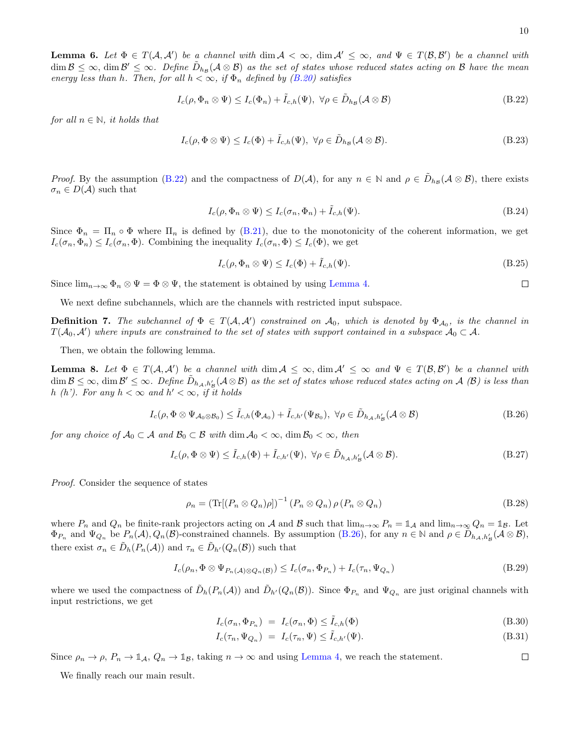$\Box$ 

 $\Box$ 

**Lemma 6.** Let  $\Phi \in T(A, \mathcal{A}')$  be a channel with  $\dim \mathcal{A} < \infty$ ,  $\dim \mathcal{A}' \leq \infty$ , and  $\Psi \in T(\mathcal{B}, \mathcal{B}')$  be a channel with  $\dim {\cal B} \leq \infty$ ,  $\dim {\cal B}' \leq \infty$ . Define  $\tilde{D}_{h_{\cal B}}( {\cal A} \otimes {\cal B})$  as the set of states whose reduced states acting on  ${\cal B}$  have the mean energy less than h. Then, for all  $h < \infty$ , if  $\Phi_n$  defined by [\(B.20\)](#page-8-0) satisfies

<span id="page-9-0"></span>
$$
I_c(\rho, \Phi_n \otimes \Psi) \le I_c(\Phi_n) + \tilde{I}_{c,h}(\Psi), \ \forall \rho \in \tilde{D}_{h_{\mathcal{B}}}(\mathcal{A} \otimes \mathcal{B})
$$
(B.22)

for all  $n \in \mathbb{N}$ , it holds that

<span id="page-9-3"></span>
$$
I_c(\rho, \Phi \otimes \Psi) \le I_c(\Phi) + \tilde{I}_{c,h}(\Psi), \ \forall \rho \in \tilde{D}_{h_{\mathcal{B}}}(\mathcal{A} \otimes \mathcal{B}). \tag{B.23}
$$

Proof. By the assumption [\(B.22\)](#page-9-0) and the compactness of  $D(\mathcal{A})$ , for any  $n \in \mathbb{N}$  and  $\rho \in \tilde{D}_{h_{\mathcal{B}}}(\mathcal{A}\otimes\mathcal{B})$ , there exists  $\sigma_n \in D(\mathcal{A})$  such that

$$
I_c(\rho, \Phi_n \otimes \Psi) \le I_c(\sigma_n, \Phi_n) + \tilde{I}_{c,h}(\Psi). \tag{B.24}
$$

Since  $\Phi_n = \Pi_n \circ \Phi$  where  $\Pi_n$  is defined by [\(B.21\)](#page-8-1), due to the monotonicity of the coherent information, we get  $I_c(\sigma_n, \Phi_n) \leq I_c(\sigma_n, \Phi)$ . Combining the inequality  $I_c(\sigma_n, \Phi) \leq I_c(\Phi)$ , we get

$$
I_c(\rho, \Phi_n \otimes \Psi) \le I_c(\Phi) + \tilde{I}_{c,h}(\Psi). \tag{B.25}
$$

Since  $\lim_{n\to\infty} \Phi_n \otimes \Psi = \Phi \otimes \Psi$ , the statement is obtained by using [Lemma 4.](#page-7-2)

We next define subchannels, which are the channels with restricted input subspace.

**Definition 7.** The subchannel of  $\Phi \in T(A, A')$  constrained on  $A_0$ , which is denoted by  $\Phi_{A_0}$ , is the channel in  $T(\mathcal{A}_0,\mathcal{A}')$  where inputs are constrained to the set of states with support contained in a subspace  $\mathcal{A}_0 \subset \mathcal{A}$ .

Then, we obtain the following lemma.

**Lemma 8.** Let  $\Phi \in T(A, A')$  be a channel with  $\dim A \leq \infty$ ,  $\dim A' \leq \infty$  and  $\Psi \in T(B, B')$  be a channel with  $\dim {\cal B} \leq \infty, \, \dim {\cal B}' \leq \infty.$  Define  $\tilde{D}_{h_{\cal A},h'_{\cal B}}({\cal A}\otimes {\cal B})$  as the set of states whose reduced states acting on  ${\cal A}$  ( ${\cal B})$  is less than h (h'). For any  $h < \infty$  and  $h' < \infty$ , if it holds

<span id="page-9-1"></span>
$$
I_c(\rho, \Phi \otimes \Psi_{\mathcal{A}_0 \otimes \mathcal{B}_0}) \leq \tilde{I}_{c,h}(\Phi_{\mathcal{A}_0}) + \tilde{I}_{c,h'}(\Psi_{\mathcal{B}_0}), \ \forall \rho \in \tilde{D}_{h_{\mathcal{A}},h'_{\mathcal{B}}}(\mathcal{A} \otimes \mathcal{B})
$$
(B.26)

for any choice of  $\mathcal{A}_0 \subset \mathcal{A}$  and  $\mathcal{B}_0 \subset \mathcal{B}$  with  $\dim \mathcal{A}_0 < \infty$ ,  $\dim \mathcal{B}_0 < \infty$ , then

<span id="page-9-2"></span>
$$
I_c(\rho, \Phi \otimes \Psi) \le \tilde{I}_{c,h}(\Phi) + \tilde{I}_{c,h'}(\Psi), \ \forall \rho \in \tilde{D}_{h,\mathcal{A},h'_\mathcal{B}}(\mathcal{A} \otimes \mathcal{B}). \tag{B.27}
$$

Proof. Consider the sequence of states

$$
\rho_n = \left( \text{Tr}[(P_n \otimes Q_n)\rho] \right)^{-1} (P_n \otimes Q_n) \rho(P_n \otimes Q_n)
$$
\n(B.28)

where  $P_n$  and  $Q_n$  be finite-rank projectors acting on A and B such that  $\lim_{n\to\infty}P_n=\mathbb{1}_A$  and  $\lim_{n\to\infty}Q_n=\mathbb{1}_B$ . Let  $\Phi_{P_n}$  and  $\Psi_{Q_n}$  be  $P_n(\mathcal{A}), Q_n(\mathcal{B})$ -constrained channels. By assumption [\(B.26\)](#page-9-1), for any  $n \in \mathbb{N}$  and  $\rho \in \mathcal{D}_{h_{\mathcal{A}},h'_{\mathcal{B}}}(\mathcal{A} \otimes \mathcal{B}),$ there exist  $\sigma_n \in \tilde{D}_h(P_n(\mathcal{A}))$  and  $\tau_n \in \tilde{D}_{h'}(Q_n(\mathcal{B}))$  such that

$$
I_c(\rho_n, \Phi \otimes \Psi_{P_n(\mathcal{A}) \otimes Q_n(\mathcal{B})}) \le I_c(\sigma_n, \Phi_{P_n}) + I_c(\tau_n, \Psi_{Q_n})
$$
\n(B.29)

where we used the compactness of  $\tilde{D}_h(P_n(\mathcal{A}))$  and  $\tilde{D}_{h'}(Q_n(\mathcal{B}))$ . Since  $\Phi_{P_n}$  and  $\Psi_{Q_n}$  are just original channels with input restrictions, we get

$$
I_c(\sigma_n, \Phi_{P_n}) = I_c(\sigma_n, \Phi) \le \tilde{I}_{c,h}(\Phi)
$$
\n(B.30)

$$
I_c(\tau_n, \Psi_{Q_n}) = I_c(\tau_n, \Psi) \le \tilde{I}_{c,h'}(\Psi). \tag{B.31}
$$

Since  $\rho_n \to \rho$ ,  $P_n \to \mathbb{1}_{\mathcal{A}}$ ,  $Q_n \to \mathbb{1}_{\mathcal{B}}$ , taking  $n \to \infty$  and using [Lemma 4,](#page-7-2) we reach the statement.

We finally reach our main result.